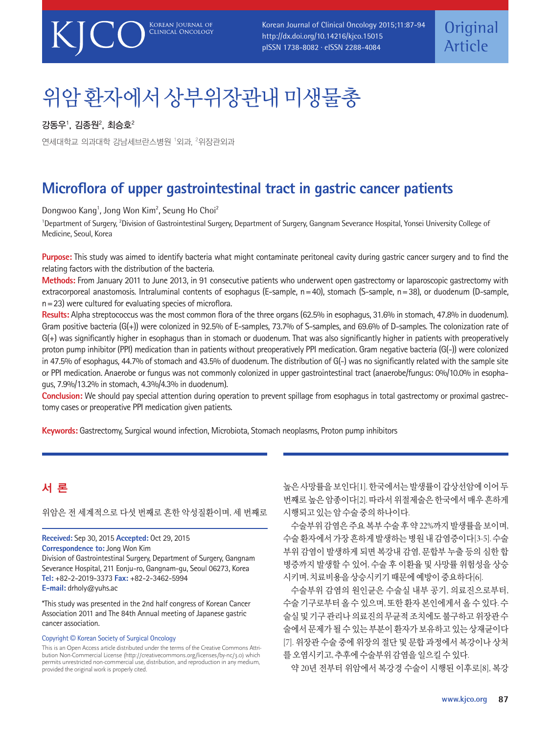Korean Journal of Clinical Oncology 2015;11:87-94 http://dx.doi.org/10.14216/kjco.15015 pISSN 1738-8082 ∙ eISSN 2288-4084

# 위암환자에서상부위장관내미생물총

강동우', 김종원 $^2$ , 최승호 $^2$ 

연세대학교 의과대학 강남세브란스병원 1외과, <sup>2</sup>위장관외과

# **Microflora of upper gastrointestinal tract in gastric cancer patients**

Dongwoo Kang<sup>1</sup>, Jong Won Kim<sup>2</sup>, Seung Ho Choi<sup>2</sup>

<sup>1</sup>Department of Surgery, <sup>2</sup>Division of Gastrointestinal Surgery, Department of Surgery, Gangnam Severance Hospital, Yonsei University College of Medicine, Seoul, Korea

**Purpose:** This study was aimed to identify bacteria what might contaminate peritoneal cavity during gastric cancer surgery and to find the relating factors with the distribution of the bacteria.

**Methods:** From January 2011 to June 2013, in 91 consecutive patients who underwent open gastrectomy or laparoscopic gastrectomy with extracorporeal anastomosis. Intraluminal contents of esophagus (E-sample, n=40), stomach (S-sample, n=38), or duodenum (D-sample, n=23) were cultured for evaluating species of microflora.

**Results:** Alpha streptococcus was the most common flora of the three organs (62.5% in esophagus, 31.6% in stomach, 47.8% in duodenum). Gram positive bacteria (G(+)) were colonized in 92.5% of E-samples, 73.7% of S-samples, and 69.6% of D-samples. The colonization rate of G(+) was significantly higher in esophagus than in stomach or duodenum. That was also significantly higher in patients with preoperatively proton pump inhibitor (PPI) medication than in patients without preoperatively PPI medication. Gram negative bacteria (G(-)) were colonized in 47.5% of esophagus, 44.7% of stomach and 43.5% of duodenum. The distribution of G(-) was no significantly related with the sample site or PPI medication. Anaerobe or fungus was not commonly colonized in upper gastrointestinal tract (anaerobe/fungus: 0%/10.0% in esophagus, 7.9%/13.2% in stomach, 4.3%/4.3% in duodenum).

**Conclusion:** We should pay special attention during operation to prevent spillage from esophagus in total gastrectomy or proximal gastrectomy cases or preoperative PPI medication given patients.

**Keywords:** Gastrectomy, Surgical wound infection, Microbiota, Stomach neoplasms, Proton pump inhibitors

# 서 론

위암은 전 세계적으로 다섯 번째로 흔한 악성질환이며, 세 번째로

**Received:** Sep 30, 2015 **Accepted:** Oct 29, 2015 **Correspondence to:** Jong Won Kim

Division of Gastrointestinal Surgery, Department of Surgery, Gangnam Severance Hospital, 211 Eonju-ro, Gangnam-gu, Seoul 06273, Korea **Tel:** +82-2-2019-3373 **Fax:** +82-2-3462-5994 **E-mail:** drholy@yuhs.ac

\*This study was presented in the 2nd half congress of Korean Cancer Association 2011 and The 84th Annual meeting of Japanese gastric cancer association.

#### Copyright © Korean Society of Surgical Oncology

This is an Open Access article distributed under the terms of the Creative Commons Attribution Non-Commercial License (http://creativecommons.org/licenses/by-nc/3.0) which permits unrestricted non-commercial use, distribution, and reproduction in any medium, provided the original work is properly cited.

높은사망률을보인다[1]. 한국에서는발생률이갑상선암에이어두 번째로 높은 암종이다[2]. 따라서 위절제술은 한국에서 매우 흔하게 시행되고있는암수술중의하나이다.

수술부위감염은주요복부수술후약 22%까지발생률을보이며, 수술환자에서가장흔하게발생하는병원내감염증이다[3-5]. 수술 부위 감염이 발생하게 되면 복강내 감염, 문합부 누출 등의 심한 합 병증까지 발생할 수 있어, 수술 후 이환율 및 사망률 위험성을 상승 시키며, 치료비용을상승시키기때문에예방이중요하다[6].

수술부위 감염의 원인균은 수술실 내부 공기, 의료진으로부터, 수술 기구로부터 올 수 있으며, 또한 환자 본인에게서 올 수 있다. 수 술실및기구관리나의료진의무균적조치에도불구하고위장관수 술에서문제가될수있는부분이환자가보유하고있는상재균이다 [7]. 위장관 수술 중에 위장의 절단 및 문합 과정에서 복강이나 상처 를오염시키고, 추후에수술부위감염을일으킬수있다.

약 20년 전부터 위암에서 복강경 수술이 시행된 이후로[8], 복강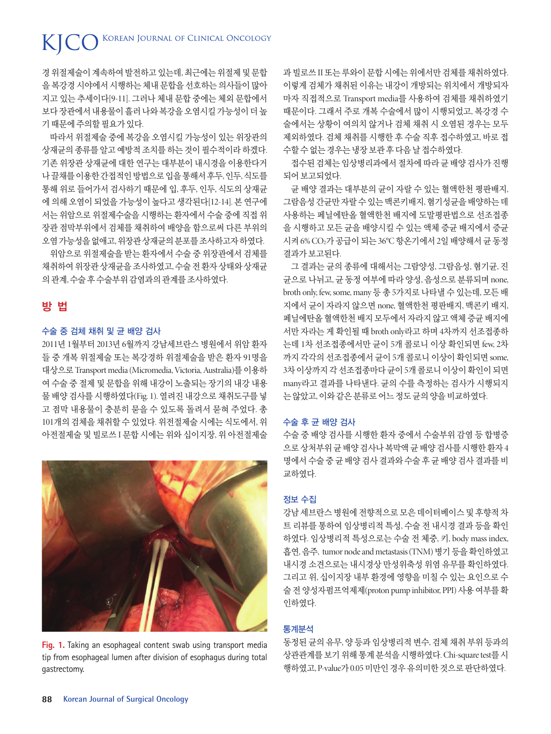# KOREAN JOURNAL OF CLINICAL ONCOLOGY

경 위절제술이 계속하여 발전하고 있는데, 최근에는 위절제 및 문합 을 복강경 시야에서 시행하는 체내 문합을 선호하는 의사들이 많아 지고 있는 추세이다[9-11]. 그러나 체내 문합 중에는 체외 문합에서 보다 장관에서 내용물이 흘러 나와 복강을 오염시킬 가능성이 더 높 기때문에주의할필요가있다.

따라서 위절제술 중에 복강을 오염시킬 가능성이 있는 위장관의 상재균의 종류를 알고 예방적 조치를 하는 것이 필수적이라 하겠다. 기존 위장관 상재균에 대한 연구는 대부분이 내시경을 이용한다거 나끌채를이용한간접적인방법으로입을통해서후두, 인두, 식도를 통해 위로 들어가서 검사하기 때문에 입, 후두, 인두, 식도의 상재균 에 의해 오염이 되었을 가능성이 높다고 생각된다[12-14]. 본 연구에 서는 위암으로 위절제수술을 시행하는 환자에서 수술 중에 직접 위 장관 점막부위에서 검체를 채취하여 배양을 함으로써 다른 부위의 오염 가능성을 없애고, 위장관 상재균의 분포를 조사하고자 하였다.

위암으로 위절제술을 받는 환자에서 수술 중 위장관에서 검체를 채취하여위장관상재균을조사하였고, 수술전환자상태와상재균 의관계, 수술후수술부위감염과의관계를조사하였다.

## 방 법

#### 수술 중 검체 채취 및 균 배양 검사

2011년 1월부터 2013년 6월까지 강남세브란스 병원에서 위암 환자 들 중 개복 위절제술 또는 복강경하 위절제술을 받은 환자 91명을 대상으로 Transport media (Micromedia, Victoria, Australia)를이용하 여 수술 중 절제 및 문합을 위해 내강이 노출되는 장기의 내강 내용 물 배양 검사를 시행하였다(Fig. 1). 열려진 내강으로 채취도구를 넣 고 점막 내용물이 충분히 묻을 수 있도록 돌려서 묻혀 주었다. 총 101개의 검체을 채취할 수 있었다. 위전절제술 시에는 식도에서, 위 아전절제술 및 빌로쓰 I 문합 시에는 위와 십이지장, 위 아전절제술



**Fig. 1.** Taking an esophageal content swab using transport media tip from esophageal lumen after division of esophagus during total gastrectomy.

과 빌로쓰 II 또는 루와이 문합 시에는 위에서만 검체를 채취하였다. 이렇게 검체가 채취된 이유는 내강이 개방되는 위치에서 개방되자 마자 직접적으로 Transport media를 사용하여 검체를 채취하였기 때문이다. 그래서 주로 개복 수술에서 많이 시행되었고, 복강경 수 술에서는 상황이 여의치 않거나 검체 채취 시 오염된 경우는 모두 제외하였다. 검체 채취를 시행한 후 수술 직후 접수하였고, 바로 접 수할수없는경우는냉장보관후다음날접수하였다.

접수된 검체는 임상병리과에서 절차에 따라 균 배양 검사가 진행 되어보고되었다.

균 배양 결과는 대부분의 균이 자랄 수 있는 혈액한천 평판배지, 그람음성 간균만 자랄 수 있는 맥콘키배지, 혐기성균을 배양하는 데 사용하는 페닐에탄올 혈액한천 배지에 도말평판법으로 선조접종 을 시행하고 모든 균을 배양시킬 수 있는 액체 증균 배지에서 증균 시켜 6% CO2가 공급이 되는 36°C 항온기에서 2일 배양해서 균 동정 결과가보고된다.

그 결과는 균의 종류에 대해서는 그람양성, 그람음성, 혐기균, 진 균으로 나뉘고, 균 동정 여부에 따라 양성, 음성으로 분류되며 none, broth only, few, some, many 등 총 5가지로 나타낼 수 있는데, 모든 배 지에서 균이 자라지 않으면 none, 혈액한천 평판배지, 맥콘키 배지, 페닐에탄올 혈액한천 배지 모두에서 자라지 않고 액체 증균 배지에 서만 자라는 게 확인될 때 broth only라고 하며 4차까지 선조접종하 는데 1차 선조접종에서만 균이 5개 콜로니 이상 확인되면 few, 2차 까지 각각의 선조접종에서 균이 5개 콜로니 이상이 확인되면 some, 3차 이상까지 각 선조접종마다 균이 5개 콜로니 이상이 확인이 되면 many라고 결과를 나타낸다. 균의 수를 측정하는 검사가 시행되지 는않았고, 이와같은분류로어느정도균의양을비교하였다.

#### 수술 후 균 배양 검사

수술 중 배양 검사를 시행한 환자 중에서 수술부위 감염 등 합병증 으로 상처부위 균 배양 검사나 복막액 균 배양 검사를 시행한 환자 4 명에서 수술 중 균 배양 검사 결과와 수술 후 균 배양 검사 결과를 비 교하였다.

#### 정보 수집

강남 세브란스 병원에 전향적으로 모은 데이터베이스 및 후향적 차 트 리뷰를 통하여 임상병리적 특성, 수술 전 내시경 결과 등을 확인 하였다. 임상병리적 특성으로는 수술 전 체중, 키, body mass index, 흡연, 음주, tumor node and metastasis (TNM) 병기 등을 확인하였고 내시경 소견으로는 내시경상 만성위축성 위염 유무를 확인하였다. 그리고 위, 십이지장 내부 환경에 영향을 미칠 수 있는 요인으로 수 술 전 양성자펌프억제제(proton pump inhibitor, PPI) 사용 여부를 확 인하였다.

#### 통계분석

동정된 균의 유무, 양 등과 임상병리적 변수, 검체 채취 부위 등과의 상관관계를보기위해통계분석을시행하였다. Chi-square test를시 행하였고, P-value가 0.05 미만인경우유의미한것으로판단하였다.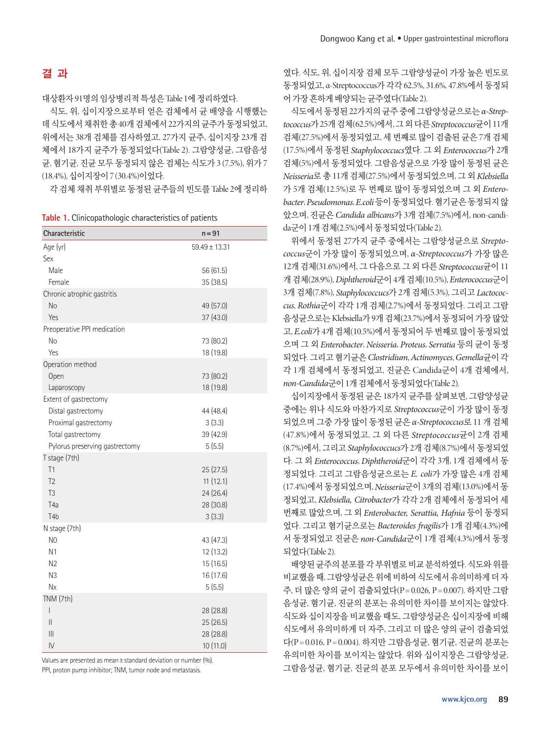### 결 과

대상환자 91명의임상병리적특성은 Table 1에정리하였다.

식도, 위, 십이지장으로부터 얻은 검체에서 균 배양을 시행했는 데 식도에서 채취한 총 40개 검체에서 22가지의 규주가 동정되었고, 위에서는 38개 검체를 검사하였고, 27가지 균주, 십이지장 23개 검 체에서 18가지 균주가 동정되었다(Table 2). 그람양성균, 그람음성 균, 혐기균, 진균 모두 동정되지 않은 검체는 식도가 3 (7.5%), 위가 7 (18.4%), 십이지장이 7 (30.4%)이었다.

각 검체 채취 부위별로 동정된 균주들의 빈도를 Table 2에 정리하

**Table 1.** Clinicopathologic characteristics of patients

| Characteristic                 | n = 91            |
|--------------------------------|-------------------|
| Age (yr)                       | $59.49 \pm 13.31$ |
| Sex                            |                   |
| Male                           | 56 (61.5)         |
| Female                         | 35(38.5)          |
| Chronic atrophic gastritis     |                   |
| <b>No</b>                      | 49 (57.0)         |
| Yes                            | 37(43.0)          |
| Preoperative PPI medication    |                   |
| No                             | 73 (80.2)         |
| Yes                            | 18 (19.8)         |
| Operation method               |                   |
| Open                           | 73 (80.2)         |
| Laparoscopy                    | 18 (19.8)         |
| Extent of gastrectomy          |                   |
| Distal gastrectomy             | 44 (48.4)         |
| Proximal gastrectomy           | 3(3.3)            |
| Total gastrectomy              | 39 (42.9)         |
| Pylorus preserving gastrectomy | 5(5.5)            |
| T stage (7th)                  |                   |
| T1                             | 25(27.5)          |
| T <sub>2</sub>                 | 11(12.1)          |
| T <sub>3</sub>                 | 24 (26.4)         |
| T <sub>4</sub> a               | 28 (30.8)         |
| T <sub>4</sub> b               | 3(3.3)            |
| N stage (7th)                  |                   |
| N <sub>0</sub>                 | 43 (47.3)         |
| N <sub>1</sub>                 | 12 (13.2)         |
| N <sub>2</sub>                 | 15(16.5)          |
| N <sub>3</sub>                 | 16 (17.6)         |
| <b>N</b> <sub>x</sub>          | 5(5.5)            |
| TNM (7th)                      |                   |
| $\overline{\phantom{a}}$       | 28 (28.8)         |
| $\mathbf{  }$                  | 25(26.5)          |
| $\mathbb{H}$                   | 28 (28.8)         |
| $\mathsf{N}$                   | 10 (11.0)         |

Values are presented as mean±standard deviation or number (%). PPI, proton pump inhibitor; TNM, tumor node and metastasis.

였다. 식도, 위, 십이지장 검체 모두 그람양성균이 가장 높은 빈도로 동정되었고, α-Streptococcus가 각각 62.5%, 31.6%, 47.8%에서 동정되 어 가장 흔하게 배양되는 규주였다(Table 2).

식도에서동정된 22가지의균주중에그람양성균으로는*α-Streptococcus*가 25개검체(62.5%)에서, 그외다른*Streptococcus*균이 11개 검체(27.5%)에서 동정되었고, 세 번째로 많이 검출된 균은 7개 검체 (17.5%)에서 동정된 *Staphylococcucs*였다. 그 외 *Enterococcus*가 2개 검체(5%)에서 동정되었다. 그람음성균으로 가장 많이 동정된 균은 *Neisseria*로 총 11개 검체(27.5%)에서 동정되었으며, 그 외 *Klebsiella* 가 5개 검체(12.5%)로 두 번째로 많이 동정되었으며 그 외 *Enterobacter*, *Pseudomonas*, *E.coli*등이동정되었다. 혐기균은동정되지않 았으며, 진균은 *Candida albicans*가 3개 검체(7.5%)에서, non-candida군이 1개검체(2.5%)에서동정되었다(Table 2).

위에서 동정된 27가지 균주 중에서는 그람양성균으로 *Streptococcus*군이 가장 많이 동정되었으며, *α-Streptococcus*가 가장 많은 12개 검체(31.6%)에서, 그 다음으로 그 외 다른 *Streptococcus*균이 11 개 검체(28.9%), *Diphtheroid*군이 4개 검체(10.5%), *Enterococcus*군이 3개 검체(7.8%), *Staphylococcucs*가 2개 검체(5.3%), 그리고 *Lactococcus*, *Rothia*군이 각각 1개 검체(2.7%)에서 동정되었다. 그리고 그람 음성균으로는 Klebsiella가 9개 검체(23.7%)에서 동정되어 가장 많았 고, *E.coli*가 4개검체(10.5%)에서동정되어두번째로많이동정되었 으며 그 외 *Enterobacter*, *Neisseria*, *Proteus*, *Serratia* 등의 균이 동정 되었다. 그리고혐기균은*Clostridium*, *Actinomyces*, *Gemella*균이각 각 1개 검체에서 동정되었고, 진균은 Candida군이 4개 검체에서, *non-Candida*군이 1개검체에서동정되었다(Table 2).

십이지장에서 동정된 균은 18가지 균주를 살펴보면, 그람양성균 중에는 위나 식도와 마찬가지로 *Streptococcus*군이 가장 많이 동정 되었으며 그중 가장 많이 동정된 균은 *α-Streptococcus*로 11 개 검체 (47.8%)에서 동정되었고, 그 외 다른 *Streptococcus*균이 2개 검체 (8.7%)에서, 그리고 *Staphylococcucs*가 2개 검체(8.7%)에서 동정되었 다. 그 외 *Enterococcus*, *Diphtheroid*군이 각각 3개, 1개 검체에서 동 정되었다. 그리고 그람음성균으로는 *E. coli*가 가장 많은 4개 검체 (17.4%)에서동정되었으며, *Neisseria*군이 3개의검체(13.0%)에서동 정되었고, *Klebsiella, Citrobacter*가 각각 2개 검체에서 동정되어 세 번째로 많았으며, 그 외 *Enterobacter, Serattia, Hafnia* 등이 동정되 었다. 그리고 혐기균으로는 *Bacteroides fragilis*가 1개 검체(4.3%)에 서 동정되었고 진균은 *non-Candida*군이 1개 검체(4.3%)에서 동정 되었다(Table 2).

배양된균주의분포를각부위별로비교분석하였다. 식도와위를 비교했을때, 그람양성균은위에비하여식도에서유의미하게더자 주, 더 많은 양의 균이 검출되었다(P = 0.026, P = 0.007). 하지만 그람 음성균, 혐기균, 진균의 분포는 유의미한 차이를 보이지는 않았다. 식도와 십이지장을 비교했을 때도, 그람양성균은 십이지장에 비해 식도에서 유의미하게 더 자주, 그리고 더 많은 양의 균이 검출되었 다(P = 0.016, P = 0.004). 하지만 그람음성균, 혐기균, 진균의 분포는 유의미한 차이를 보이지는 않았다. 위와 십이지장은 그람양성균, 그람음성균, 혐기균, 진균의 분포 모두에서 유의미한 차이를 보이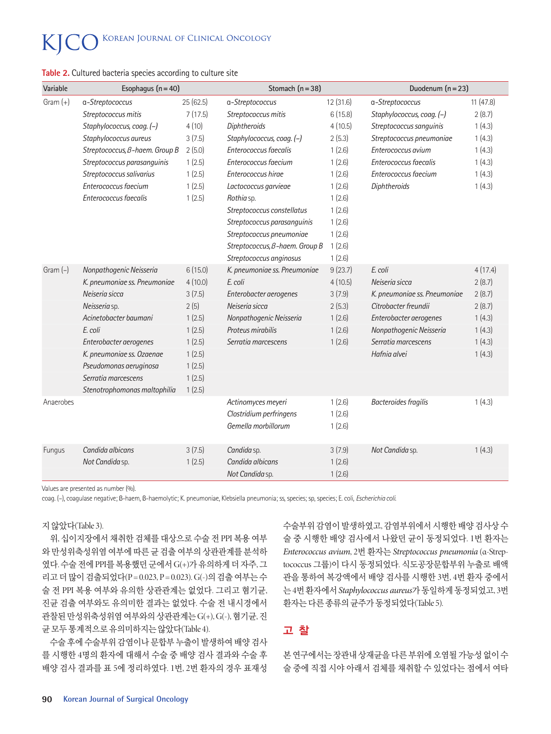|  | Table 2. Cultured bacteria species according to culture site |  |  |  |  |  |  |
|--|--------------------------------------------------------------|--|--|--|--|--|--|
|--|--------------------------------------------------------------|--|--|--|--|--|--|

| Variable   | Esophagus $(n = 40)$           |          | Stomach $(n=38)$               |           | Duodenum $(n=23)$            |          |
|------------|--------------------------------|----------|--------------------------------|-----------|------------------------------|----------|
| $Gram (+)$ | a-Streptococcus                | 25(62.5) | a-Streptococcus                | 12 (31.6) | a-Streptococcus              | 11(47.8) |
|            | Streptococcus mitis            | 7(17.5)  | Streptococcus mitis            | 6(15.8)   | Staphylococcus, coag. (-)    | 2(8.7)   |
|            | Staphylococcus, coag. (-)      | 4(10)    | <b>Diphtheroids</b>            | 4(10.5)   | Streptococcus sanguinis      | 1(4.3)   |
|            | Staphylococcus aureus          | 3(7.5)   | Staphylococcus, coag. (-)      | 2(5.3)    | Streptococcus pneumoniae     | 1(4.3)   |
|            | Streptococcus, B-haem. Group B | 2(5.0)   | Enterococcus faecalis          | 1(2.6)    | Enterococcus avium           | 1(4.3)   |
|            | Streptococcus parasanguinis    | 1(2.5)   | Enterococcus faecium           | 1(2.6)    | Enterococcus faecalis        | 1(4.3)   |
|            | Streptococcus salivarius       | 1(2.5)   | Enterococcus hirae             | 1(2.6)    | Enterococcus faecium         | 1(4.3)   |
|            | Enterococcus faecium           | 1(2.5)   | Lactococcus garvieae           | 1(2.6)    | <b>Diphtheroids</b>          | 1(4.3)   |
|            | Enterococcus faecalis          | 1(2.5)   | Rothia sp.                     | 1(2.6)    |                              |          |
|            |                                |          | Streptococcus constellatus     | 1(2.6)    |                              |          |
|            |                                |          | Streptococcus parasanguinis    | 1(2.6)    |                              |          |
|            |                                |          | Streptococcus pneumoniae       | 1(2.6)    |                              |          |
|            |                                |          | Streptococcus, B-haem. Group B | 1(2.6)    |                              |          |
|            |                                |          | Streptococcus anginosus        | 1(2.6)    |                              |          |
| Gram $(-)$ | Nonpathogenic Neisseria        | 6(15.0)  | K. pneumoniae ss. Pneumoniae   | 9(23.7)   | E. coli                      | 4(17.4)  |
|            | K. pneumoniae ss. Pneumoniae   | 4(10.0)  | E. coli                        | 4(10.5)   | Neiseria sicca               | 2(8.7)   |
|            | Neiseria sicca                 | 3(7.5)   | Enterobacter aerogenes         | 3(7.9)    | K. pneumoniae ss. Pneumoniae | 2(8.7)   |
|            | Neisseria sp.                  | 2(5)     | Neiseria sicca                 | 2(5.3)    | Citrobacter freundii         | 2(8.7)   |
|            | Acinetobacter baumani          | 1(2.5)   | Nonpathogenic Neisseria        | 1(2.6)    | Enterobacter aerogenes       | 1(4.3)   |
|            | E. coli                        | 1(2.5)   | Proteus mirabilis              | 1(2.6)    | Nonpathogenic Neisseria      | 1(4.3)   |
|            | Enterobacter aerogenes         | 1(2.5)   | Serratia marcescens            | 1(2.6)    | Serratia marcescens          | 1(4.3)   |
|            | K. pneumoniae ss. Ozaenae      | 1(2.5)   |                                |           | Hafnia alvei                 | 1(4.3)   |
|            | Pseudomonas aeruginosa         | 1(2.5)   |                                |           |                              |          |
|            | Serratia marcescens            | 1(2.5)   |                                |           |                              |          |
|            | Stenotrophomonas maltophilia   | 1(2.5)   |                                |           |                              |          |
| Anaerobes  |                                |          | Actinomyces meyeri             | 1(2.6)    | <b>Bacteroides fragilis</b>  | 1(4.3)   |
|            |                                |          | Clostridium perfringens        | 1(2.6)    |                              |          |
|            |                                |          | Gemella morbillorum            | 1(2.6)    |                              |          |
| Fungus     | Candida albicans               | 3(7.5)   | Candida sp.                    | 3(7.9)    | Not Candida sp.              | 1(4.3)   |
|            | Not Candida sp.                | 1(2.5)   | Candida albicans               | 1(2.6)    |                              |          |
|            |                                |          | Not Candida sp.                | 1(2.6)    |                              |          |

Values are presented as number (%).

coag. (–), coagulase negative; β-haem, β-haemolytic; K. pneumoniae, Klebsiella pneumonia; ss, species; sp, species; E. coli, *Escherichia coli*.

#### 지않았다(Table 3).

위, 십이지장에서 채취한 검체를 대상으로 수술 전 PPI 복용 여부 와 만성위축성위염 여부에 따른 균 검출 여부의 상관관계를 분석하 였다. 수술 전에 PPI를 복용했던 군에서 G(+)가 유의하게 더 자주, 그 리고 더 많이 검출되었다(P = 0.023, P = 0.023). G(-)의 검출 여부는 수 술 전 PPI 복용 여부와 유의한 상관관계는 없었다. 그리고 혐기균, 진균 검출 여부와도 유의미한 결과는 없었다. 수술 전 내시경에서 관찰된 만성위축성위염 여부와의 상관관계는 G(+), G(-), 혐기균, 진 균모두통계적으로유의미하지는않았다(Table 4).

수술 후에 수술부위 감염이나 문합부 누출이 발생하여 배양 검사 를 시행한 4명의 환자에 대해서 수술 중 배양 검사 결과와 수술 후 배양 검사 결과를 표 5에 정리하였다. 1번, 2번 환자의 경우 표재성 수술부위 감염이 발생하였고, 감염부위에서 시행한 배양 검사상 수 술 중 시행한 배양 검사에서 나왔던 균이 동정되었다. 1번 환자는 *Enterococcus avium*, 2번 환자는 *Streptococcus pneumonia* (α-Streptococcus 그룹)이 다시 동정되었다. 식도공장문합부위 누출로 배액 관을 통하여 복강액에서 배양 검사를 시행한 3번, 4번 환자 중에서 는 4번환자에서*Staphylococcus aureus*가동일하게동정되었고, 3번 환자는 다른 종류의 균주가 동정되었다(Table 5).

## 고 찰

본연구에서는장관내상재균을다른부위에오염될가능성없이수 술 중에 직접 시야 아래서 검체를 채취할 수 있었다는 점에서 여타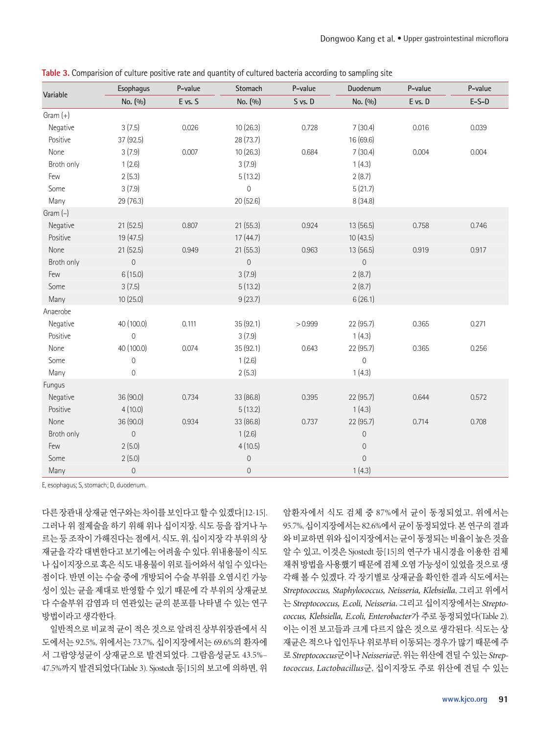| Variable   | Esophagus   | P-value | Stomach             | P-value | Duodenum            | P-value | P-value |
|------------|-------------|---------|---------------------|---------|---------------------|---------|---------|
|            | No. (%)     | E vs. S | No. (%)             | S vs. D | No. (%)             | E vs. D | $E-S-D$ |
| Gram $(+)$ |             |         |                     |         |                     |         |         |
| Negative   | 3(7.5)      | 0.026   | 10(26.3)            | 0.728   | 7(30.4)             | 0.016   | 0.039   |
| Positive   | 37 (92.5)   |         | 28 (73.7)           |         | 16 (69.6)           |         |         |
| None       | 3(7.9)      | 0.007   | 10(26.3)            | 0.684   | 7(30.4)             | 0.004   | 0.004   |
| Broth only | 1(2.6)      |         | 3(7.9)              |         | 1(4.3)              |         |         |
| Few        | 2(5.3)      |         | 5(13.2)             |         | 2(8.7)              |         |         |
| Some       | 3(7.9)      |         | $\mathsf{O}\xspace$ |         | 5(21.7)             |         |         |
| Many       | 29 (76.3)   |         | 20 (52.6)           |         | 8(34.8)             |         |         |
| $Gram(-)$  |             |         |                     |         |                     |         |         |
| Negative   | 21(52.5)    | 0.807   | 21(55.3)            | 0.924   | 13 (56.5)           | 0.758   | 0.746   |
| Positive   | 19 (47.5)   |         | 17(44.7)            |         | 10(43.5)            |         |         |
| None       | 21(52.5)    | 0.949   | 21(55.3)            | 0.963   | 13(56.5)            | 0.919   | 0.917   |
| Broth only | $\hbox{O}$  |         | $\hbox{O}$          |         | $\mathsf{O}\xspace$ |         |         |
| Few        | 6(15.0)     |         | 3(7.9)              |         | 2(8.7)              |         |         |
| Some       | 3(7.5)      |         | 5(13.2)             |         | 2(8.7)              |         |         |
| Many       | 10 (25.0)   |         | 9(23.7)             |         | 6(26.1)             |         |         |
| Anaerobe   |             |         |                     |         |                     |         |         |
| Negative   | 40 (100.0)  | 0.111   | 35 (92.1)           | >0.999  | 22 (95.7)           | 0.365   | 0.271   |
| Positive   | $\mathbf 0$ |         | 3(7.9)              |         | 1(4.3)              |         |         |
| None       | 40 (100.0)  | 0.074   | 35(92.1)            | 0.643   | 22 (95.7)           | 0.365   | 0.256   |
| Some       | $\mathbf 0$ |         | 1(2.6)              |         | $\overline{0}$      |         |         |
| Many       | $\mathbf 0$ |         | 2(5.3)              |         | 1(4.3)              |         |         |
| Fungus     |             |         |                     |         |                     |         |         |
| Negative   | 36 (90.0)   | 0.734   | 33 (86.8)           | 0.395   | 22 (95.7)           | 0.644   | 0.572   |
| Positive   | 4(10.0)     |         | 5(13.2)             |         | 1(4.3)              |         |         |
| None       | 36 (90.0)   | 0.934   | 33 (86.8)           | 0.737   | 22 (95.7)           | 0.714   | 0.708   |
| Broth only | $\mathbf 0$ |         | 1(2.6)              |         | $\mathsf{O}\xspace$ |         |         |
| Few        | 2(5.0)      |         | 4(10.5)             |         | $\mathbf 0$         |         |         |
| Some       | 2(5.0)      |         | $\mathbf 0$         |         | $\mathsf{O}\xspace$ |         |         |
| Many       | $\mathbf 0$ |         | $\mathbf 0$         |         | 1(4.3)              |         |         |

Table 3. Comparision of culture positive rate and quantity of cultured bacteria according to sampling site

E, esophagus; S, stomach; D, duodenum.

다른장관내상재균연구와는차이를보인다고할수있겠다[12-15]. 그러나 위 절제술을 하기 위해 위나 십이지장, 식도 등을 잡거나 누 르는 등 조작이 가해진다는 점에서, 식도, 위, 십이지장 각 부위의 상 재균을각각대변한다고보기에는어려울수있다. 위내용물이식도 나십이지장으로혹은식도내용물이위로들어와서섞일수있다는 점이다. 반면 이는 수술 중에 개방되어 수술 부위를 오염시킨 가능 성이 있는 균을 제대로 반영할 수 있기 때문에 각 부위의 상재균보 다 수술부위 감염과 더 연관있는 균의 분포를 나타낼 수 있는 연구 방법이라고생각한다.

일반적으로 비교적 균이 적은 것으로 알려진 상부위장관에서 식 도에서는 92.5%, 위에서는 73.7%, 십이지장에서는 69.6%의 환자에 서 그람양성균이 상재균으로 발견되었다. 그람음성균도 43.5%– 47.5%까지 발견되었다(Table 3). Sjostedt 등[15]의 보고에 의하면, 위 암환자에서 식도 검체 중 87%에서 균이 동정되었고, 위에서는 95.7%, 십이지장에서는 82.6%에서 균이 동정되었다. 본 연구의 결과 와 비교하면 위와 십이지장에서는 균이 동정되는 비율이 높은 것을 알 수 있고, 이것은 Sjostedt 등[15]의 연구가 내시경을 이용한 검체 채취방법을사용했기때문에검체오염가능성이있었을것으로생 각해 볼 수 있겠다. 각 장기별로 상재균을 확인한 결과 식도에서는 *Streptococcus, Staphylococcus, Neisseria, Klebsiella*, 그리고 위에서 는 *Streptococcus, E.coli, Neisseria*, 그리고 십이지장에서는 *Streptococcus, Klebsiella, E.coli, Enterobacter*가 주로 동정되었다(Table 2). 이는 이전 보고들과 크게 다르지 않은 것으로 생각된다. 식도는 상 재균은 적으나 입인두나 위로부터 이동되는 경우가 많기 때문에 주 로*Streptococcus*군이나*Neisseria*군, 위는위산에견딜수있는*Streptococcus*, *Lactobacillus*군, 십이지장도 주로 위산에 견딜 수 있는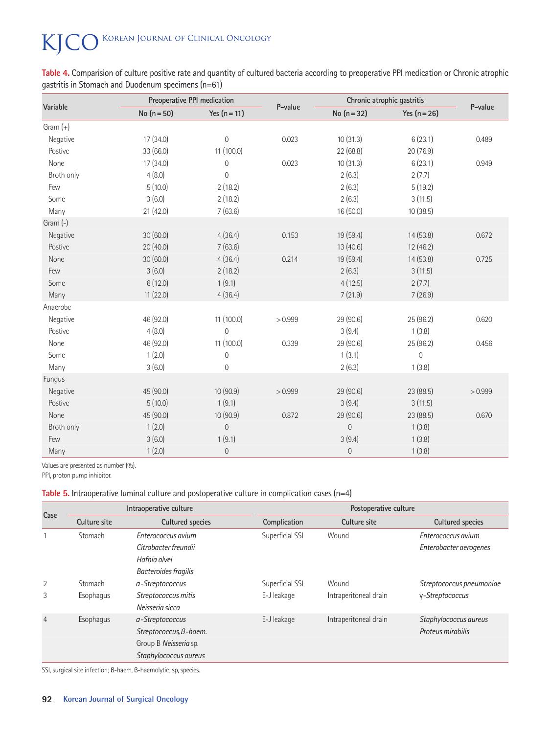|            |               | Preoperative PPI medication |         | Chronic atrophic gastritis |                |         |
|------------|---------------|-----------------------------|---------|----------------------------|----------------|---------|
| Variable   | No $(n = 50)$ | Yes $(n = 11)$              | P-value | No $(n=32)$                | Yes $(n = 26)$ | P-value |
| Gram $(+)$ |               |                             |         |                            |                |         |
| Negative   | 17 (34.0)     | $\mathsf{O}\xspace$         | 0.023   | 10(31.3)                   | 6(23.1)        | 0.489   |
| Postive    | 33 (66.0)     | 11 (100.0)                  |         | 22 (68.8)                  | 20 (76.9)      |         |
| None       | 17 (34.0)     | $\overline{0}$              | 0.023   | 10(31.3)                   | 6(23.1)        | 0.949   |
| Broth only | 4(8.0)        | $\overline{0}$              |         | 2(6.3)                     | 2(7.7)         |         |
| Few        | 5(10.0)       | 2(18.2)                     |         | 2(6.3)                     | 5(19.2)        |         |
| Some       | 3(6.0)        | 2(18.2)                     |         | 2(6.3)                     | 3(11.5)        |         |
| Many       | 21 (42.0)     | 7(63.6)                     |         | 16 (50.0)                  | 10 (38.5)      |         |
| Gram (-)   |               |                             |         |                            |                |         |
| Negative   | 30 (60.0)     | 4(36.4)                     | 0.153   | 19 (59.4)                  | 14(53.8)       | 0.672   |
| Postive    | 20(40.0)      | 7(63.6)                     |         | 13 (40.6)                  | 12 (46.2)      |         |
| None       | 30 (60.0)     | 4(36.4)                     | 0.214   | 19 (59.4)                  | 14 (53.8)      | 0.725   |
| Few        | 3(6.0)        | 2(18.2)                     |         | 2(6.3)                     | 3(11.5)        |         |
| Some       | 6(12.0)       | 1(9.1)                      |         | 4(12.5)                    | 2(7.7)         |         |
| Many       | 11 (22.0)     | 4(36.4)                     |         | 7(21.9)                    | 7(26.9)        |         |
| Anaerobe   |               |                             |         |                            |                |         |
| Negative   | 46 (92.0)     | 11 (100.0)                  | > 0.999 | 29 (90.6)                  | 25 (96.2)      | 0.620   |
| Postive    | 4(8.0)        | $\overline{0}$              |         | 3(9.4)                     | 1(3.8)         |         |
| None       | 46 (92.0)     | 11 (100.0)                  | 0.339   | 29 (90.6)                  | 25 (96.2)      | 0.456   |
| Some       | 1(2.0)        | $\mathbf 0$                 |         | 1(3.1)                     | $\overline{0}$ |         |
| Many       | 3(6.0)        | $\mathbf 0$                 |         | 2(6.3)                     | 1(3.8)         |         |
| Fungus     |               |                             |         |                            |                |         |
| Negative   | 45 (90.0)     | 10 (90.9)                   | >0.999  | 29 (90.6)                  | 23 (88.5)      | >0.999  |
| Postive    | 5(10.0)       | 1(9.1)                      |         | 3(9.4)                     | 3(11.5)        |         |
| None       | 45 (90.0)     | 10 (90.9)                   | 0.872   | 29 (90.6)                  | 23 (88.5)      | 0.670   |
| Broth only | 1(2.0)        | $\mathbf 0$                 |         | $\mathbf 0$                | 1(3.8)         |         |
| Few        | 3(6.0)        | 1(9.1)                      |         | 3(9.4)                     | 1(3.8)         |         |
| Many       | 1(2.0)        | $\mathbf 0$                 |         | $\mathbf 0$                | 1(3.8)         |         |

**Table 4.** Comparision of culture positive rate and quantity of cultured bacteria according to preoperative PPI medication or Chronic atrophic gastritis in Stomach and Duodenum specimens (n=61)

Values are presented as number (%).

PPI, proton pump inhibitor.

**Table 5.** Intraoperative luminal culture and postoperative culture in complication cases (n=4)

|                |              | Intraoperative culture |                 | Postoperative culture |                          |  |  |
|----------------|--------------|------------------------|-----------------|-----------------------|--------------------------|--|--|
| Case           | Culture site | Cultured species       | Complication    | Culture site          | Cultured species         |  |  |
|                | Stomach      | Enterococcus avium     | Superficial SSI | Wound                 | Enterococcus avium       |  |  |
|                |              | Citrobacter freundii   |                 |                       | Enterobacter aerogenes   |  |  |
|                |              | Hafnia alvei           |                 |                       |                          |  |  |
|                |              | Bacteroides fragilis   |                 |                       |                          |  |  |
| $\overline{2}$ | Stomach      | a-Streptococcus        | Superficial SSI | Wound                 | Streptococcus pneumoniae |  |  |
| 3              | Esophagus    | Streptococcus mitis    | E-J leakage     | Intraperitoneal drain | y-Streptococcus          |  |  |
|                |              | Neisseria sicca        |                 |                       |                          |  |  |
| $\overline{4}$ | Esophagus    | a-Streptococcus        | E-J leakage     | Intraperitoneal drain | Staphylococcus aureus    |  |  |
|                |              | Streptococcus, B-haem. |                 |                       | Proteus mirabilis        |  |  |
|                |              | Group B Neisseria sp.  |                 |                       |                          |  |  |
|                |              | Staphylococcus aureus  |                 |                       |                          |  |  |

SSI, surgical site infection; β-haem, β-haemolytic; sp, species.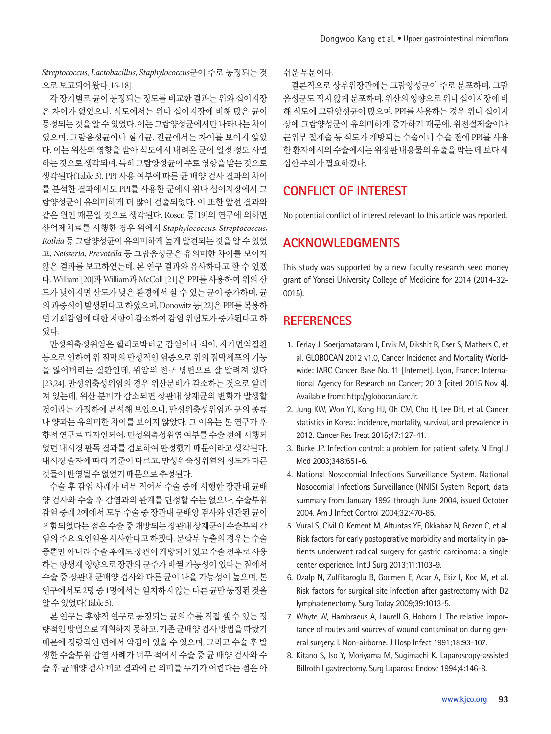*Streptococcus*, *Lactobacillus*, *Staphylococcus*군이 주로 동정되는 것 으로보고되어왔다[16-18].

각 장기별로 균이 동정되는 정도를 비교한 결과는 위와 십이지장 은 차이가 없었으나, 식도에서는 위나 십이지장에 비해 많은 균이 동정되는것을알수있었다. 이는그람양성균에서만나타나는차이 였으며, 그람음성균이나 혐기균, 진균에서는 차이를 보이지 않았 다. 이는 위산의 영향을 받아 식도에서 내려온 균이 일정 정도 사멸 하는것으로생각되며, 특히그람양성균이주로영향을받는것으로 생각된다(Table 3). PPI 사용 여부에 따른 균 배양 검사 결과의 차이 를 분석한 결과에서도 PPI를 사용한 군에서 위나 십이지장에서 그 람양성균이 유의미하게 더 많이 검출되었다. 이 또한 앞선 결과와 같은 원인 때문일 것으로 생각된다. Rosen 등[19]의 연구에 의하면 산억제치료를 시행한 경우 위에서 *Staphylococcus*, *Streptococcus*, *Rothia*등그람양성균이유의미하게높게발견되는것을알수있었 고, *Neisseria*, *Prevotella* 등 그람음성균은 유의미한 차이를 보이지 않은 결과를 보고하였는데, 본 연구 결과와 유사하다고 할 수 있겠 다. William [20]과 William과 McColl [21]은 PPI를 사용하여 위의 산 도가 낮아지면 산도가 낮은 환경에서 살 수 있는 균이 증가하며, 균 의과증식이발생된다고하였으며, Donowitz 등[22]은 PPI를복용하 면 기회감염에 대한 저항이 감소하여 감염 위험도가 증가된다고 하 였다.

만성위축성위염은 헬리코박터균 감염이나 식이, 자가면역질환 등으로 인하여 위 점막의 만성적인 염증으로 위의 점막세포의 기능 을 잃어버리는 질환인데, 위암의 전구 병변으로 잘 알려져 있다 [23,24]. 만성위축성위염의 경우 위산분비가 감소하는 것으로 알려 져 있는데, 위산 분비가 감소되면 장관내 상재균의 변화가 발생할 것이라는 가정하에 분석해 보았으나, 만성위축성위염과 균의 종류 나 양과는 유의미한 차이를 보이지 않았다. 그 이유는 본 연구가 후 향적 연구로 디자인되어, 만성위축성위염 여부를 수술 전에 시행되 었던 내시경 판독 결과를 검토하여 판정했기 때문이라고 생각된다. 내시경 술자에 따라 기준이 다르고, 만성위축성위염의 정도가 다른 것들이반영될수없었기때문으로추정된다.

수술 후 감염 사례가 너무 적어서 수술 중에 시행한 장관내 균배 양 검사와 수술 후 감염과의 관계를 단정할 수는 없으나, 수술부위 감염 증례 2예에서 모두 수술 중 장관내 균배양 검사와 연관된 균이 포함되었다는 점은 수술 중 개방되는 장관내 상재균이 수술부위 감 염의주요요인임을시사한다고하겠다. 문합부누출의경우는수술 중뿐만아니라수술후에도장관이개방되어있고수술전후로사용 하는 항생제 영향으로 장관의 균주가 바뀔 가능성이 있다는 점에서 수술 중 장관내 균배양 검사와 다른 균이 나올 가능성이 높으며, 본 연구에서도 2명 중 1명에서는 일치하지 않는 다른 균만 동정된 것을 알수있었다(Table 5).

본 연구는 후향적 연구로 동정되는 균의 수를 직접 셀 수 있는 정 량적인방법으로계획하지못하고, 기존균배양검사방법을따랐기 때문에 정량적인 면에서 약점이 있을 수 있으며, 그리고 수술 후 발 생한 수술부위 감염 사례가 너무 적어서 수술 중 균 배양 검사와 수 술 후 균 배양 검사 비교 결과에 큰 의미를 두기가 어렵다는 점은 아 쉬운부분이다.

결론적으로 상부위장관에는 그람양성균이 주로 분포하며, 그람 음성균도적지않게분포하며, 위산의영향으로위나십이지장에비 해 식도에 그람양성균이 많으며, PPI를 사용하는 경우 위나 십이지 장에 그람양성균이 유의미하게 증가하기 때문에, 위전절제술이나 근위부 절제술 등 식도가 개방되는 수술이나 수술 전에 PPI를 사용 한 환자에서의 수술에서는 위장관 내용물의 유출을 막는 데 보다 세 심한주의가필요하겠다.

## **CONFLICT OF INTEREST**

No potential conflict of interest relevant to this article was reported.

### **ACKNOWLEDGMENTS**

This study was supported by a new faculty research seed money grant of Yonsei University College of Medicine for 2014 (2014-32- 0015).

### **REFERENCES**

- 1. Ferlay J, Soerjomataram I, Ervik M, Dikshit R, Eser S, Mathers C, et al. GLOBOCAN 2012 v1.0, Cancer Incidence and Mortality Worldwide: IARC Cancer Base No. 11 [Internet]. Lyon, France: International Agency for Research on Cancer; 2013 [cited 2015 Nov 4]. Available from: http://globocan.iarc.fr.
- 2. Jung KW, Won YJ, Kong HJ, Oh CM, Cho H, Lee DH, et al. Cancer statistics in Korea: incidence, mortality, survival, and prevalence in 2012. Cancer Res Treat 2015;47:127-41.
- 3. Burke JP. Infection control: a problem for patient safety. N Engl J Med 2003;348:651-6.
- 4. National Nosocomial Infections Surveillance System. National Nosocomial Infections Surveillance (NNIS) System Report, data summary from January 1992 through June 2004, issued October 2004. Am J Infect Control 2004;32:470-85.
- 5. Vural S, Civil O, Kement M, Altuntas YE, Okkabaz N, Gezen C, et al. Risk factors for early postoperative morbidity and mortality in patients underwent radical surgery for gastric carcinoma: a single center experience. Int J Surg 2013;11:1103-9.
- 6. Ozalp N, Zulfikaroglu B, Gocmen E, Acar A, Ekiz I, Koc M, et al. Risk factors for surgical site infection after gastrectomy with D2 lymphadenectomy. Surg Today 2009;39:1013-5.
- 7. Whyte W, Hambraeus A, Laurell G, Hoborn J. The relative importance of routes and sources of wound contamination during general surgery. I. Non-airborne. J Hosp Infect 1991;18:93-107.
- 8. Kitano S, Iso Y, Moriyama M, Sugimachi K. Laparoscopy-assisted Billroth I gastrectomy. Surg Laparosc Endosc 1994;4:146-8.